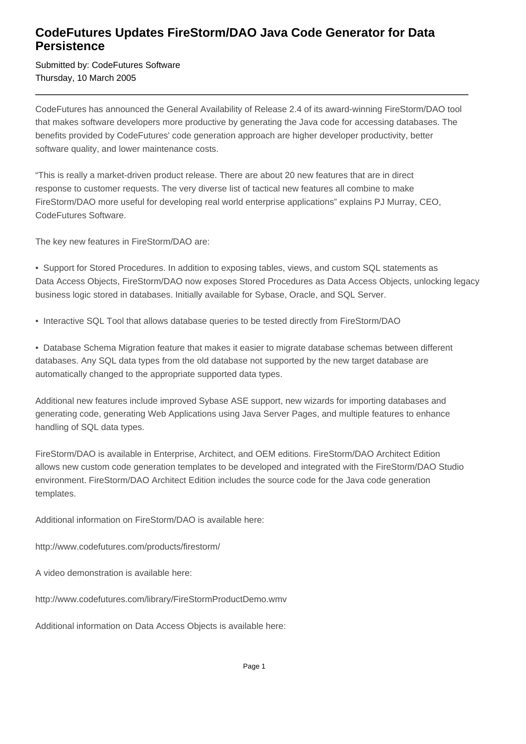## **CodeFutures Updates FireStorm/DAO Java Code Generator for Data Persistence**

Submitted by: CodeFutures Software Thursday, 10 March 2005

CodeFutures has announced the General Availability of Release 2.4 of its award-winning FireStorm/DAO tool that makes software developers more productive by generating the Java code for accessing databases. The benefits provided by CodeFutures' code generation approach are higher developer productivity, better software quality, and lower maintenance costs.

"This is really a market-driven product release. There are about 20 new features that are in direct response to customer requests. The very diverse list of tactical new features all combine to make FireStorm/DAO more useful for developing real world enterprise applications" explains PJ Murray, CEO, CodeFutures Software.

The key new features in FireStorm/DAO are:

• Support for Stored Procedures. In addition to exposing tables, views, and custom SQL statements as Data Access Objects, FireStorm/DAO now exposes Stored Procedures as Data Access Objects, unlocking legacy business logic stored in databases. Initially available for Sybase, Oracle, and SQL Server.

• Interactive SQL Tool that allows database queries to be tested directly from FireStorm/DAO

• Database Schema Migration feature that makes it easier to migrate database schemas between different databases. Any SQL data types from the old database not supported by the new target database are automatically changed to the appropriate supported data types.

Additional new features include improved Sybase ASE support, new wizards for importing databases and generating code, generating Web Applications using Java Server Pages, and multiple features to enhance handling of SQL data types.

FireStorm/DAO is available in Enterprise, Architect, and OEM editions. FireStorm/DAO Architect Edition allows new custom code generation templates to be developed and integrated with the FireStorm/DAO Studio environment. FireStorm/DAO Architect Edition includes the source code for the Java code generation templates.

Additional information on FireStorm/DAO is available here:

http://www.codefutures.com/products/firestorm/

A video demonstration is available here:

http://www.codefutures.com/library/FireStormProductDemo.wmv

Additional information on Data Access Objects is available here: